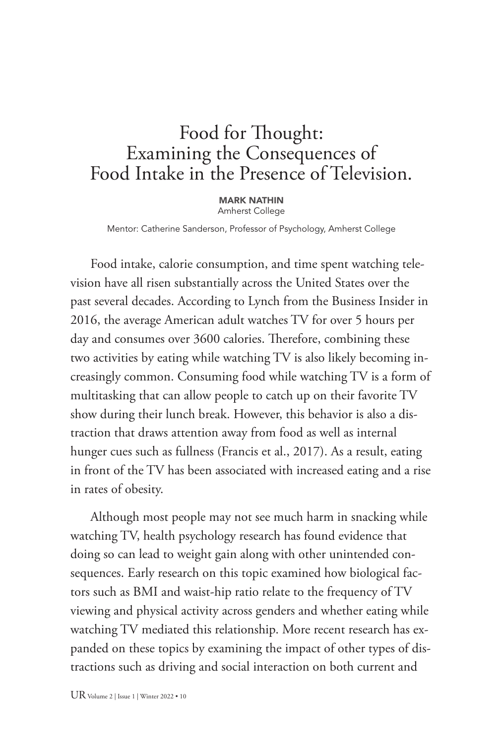# Food for Thought: Examining the Consequences of Food Intake in the Presence of Television.

MARK NATHIN Amherst College

Mentor: Catherine Sanderson, Professor of Psychology, Amherst College

Food intake, calorie consumption, and time spent watching television have all risen substantially across the United States over the past several decades. According to Lynch from the Business Insider in 2016, the average American adult watches TV for over 5 hours per day and consumes over 3600 calories. Therefore, combining these two activities by eating while watching TV is also likely becoming increasingly common. Consuming food while watching TV is a form of multitasking that can allow people to catch up on their favorite TV show during their lunch break. However, this behavior is also a distraction that draws attention away from food as well as internal hunger cues such as fullness (Francis et al., 2017). As a result, eating in front of the TV has been associated with increased eating and a rise in rates of obesity.

Although most people may not see much harm in snacking while watching TV, health psychology research has found evidence that doing so can lead to weight gain along with other unintended consequences. Early research on this topic examined how biological factors such as BMI and waist-hip ratio relate to the frequency of TV viewing and physical activity across genders and whether eating while watching TV mediated this relationship. More recent research has expanded on these topics by examining the impact of other types of distractions such as driving and social interaction on both current and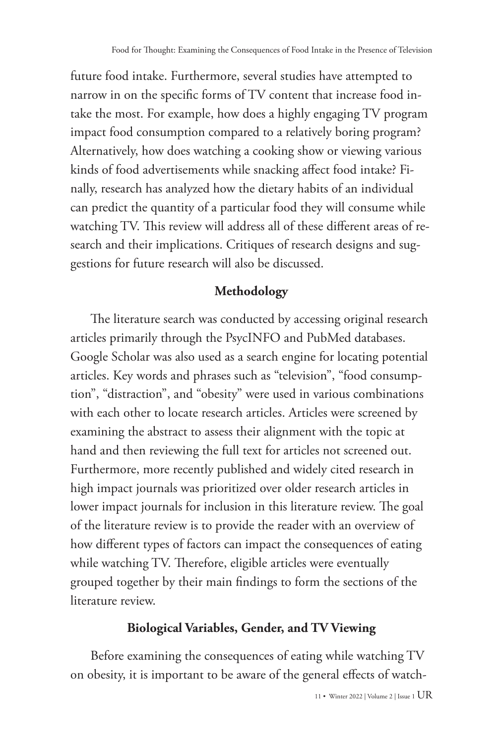future food intake. Furthermore, several studies have attempted to narrow in on the specific forms of TV content that increase food intake the most. For example, how does a highly engaging TV program impact food consumption compared to a relatively boring program? Alternatively, how does watching a cooking show or viewing various kinds of food advertisements while snacking affect food intake? Finally, research has analyzed how the dietary habits of an individual can predict the quantity of a particular food they will consume while watching TV. This review will address all of these different areas of research and their implications. Critiques of research designs and suggestions for future research will also be discussed.

### **Methodology**

The literature search was conducted by accessing original research articles primarily through the PsycINFO and PubMed databases. Google Scholar was also used as a search engine for locating potential articles. Key words and phrases such as "television", "food consumption", "distraction", and "obesity" were used in various combinations with each other to locate research articles. Articles were screened by examining the abstract to assess their alignment with the topic at hand and then reviewing the full text for articles not screened out. Furthermore, more recently published and widely cited research in high impact journals was prioritized over older research articles in lower impact journals for inclusion in this literature review. The goal of the literature review is to provide the reader with an overview of how different types of factors can impact the consequences of eating while watching TV. Therefore, eligible articles were eventually grouped together by their main findings to form the sections of the literature review.

#### **Biological Variables, Gender, and TV Viewing**

Before examining the consequences of eating while watching TV on obesity, it is important to be aware of the general effects of watch-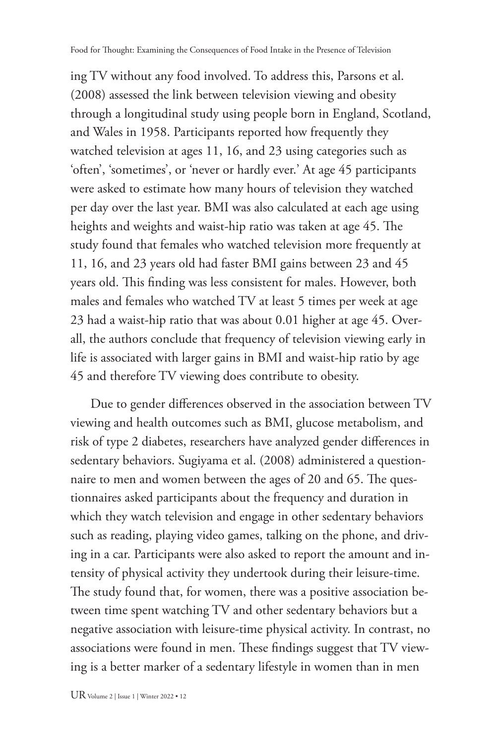ing TV without any food involved. To address this, Parsons et al. (2008) assessed the link between television viewing and obesity through a longitudinal study using people born in England, Scotland, and Wales in 1958. Participants reported how frequently they watched television at ages 11, 16, and 23 using categories such as 'often', 'sometimes', or 'never or hardly ever.' At age 45 participants were asked to estimate how many hours of television they watched per day over the last year. BMI was also calculated at each age using heights and weights and waist-hip ratio was taken at age 45. The study found that females who watched television more frequently at 11, 16, and 23 years old had faster BMI gains between 23 and 45 years old. This finding was less consistent for males. However, both males and females who watched TV at least 5 times per week at age 23 had a waist-hip ratio that was about 0.01 higher at age 45. Overall, the authors conclude that frequency of television viewing early in life is associated with larger gains in BMI and waist-hip ratio by age 45 and therefore TV viewing does contribute to obesity.

Due to gender differences observed in the association between TV viewing and health outcomes such as BMI, glucose metabolism, and risk of type 2 diabetes, researchers have analyzed gender differences in sedentary behaviors. Sugiyama et al. (2008) administered a questionnaire to men and women between the ages of 20 and 65. The questionnaires asked participants about the frequency and duration in which they watch television and engage in other sedentary behaviors such as reading, playing video games, talking on the phone, and driving in a car. Participants were also asked to report the amount and intensity of physical activity they undertook during their leisure-time. The study found that, for women, there was a positive association between time spent watching TV and other sedentary behaviors but a negative association with leisure-time physical activity. In contrast, no associations were found in men. These findings suggest that TV viewing is a better marker of a sedentary lifestyle in women than in men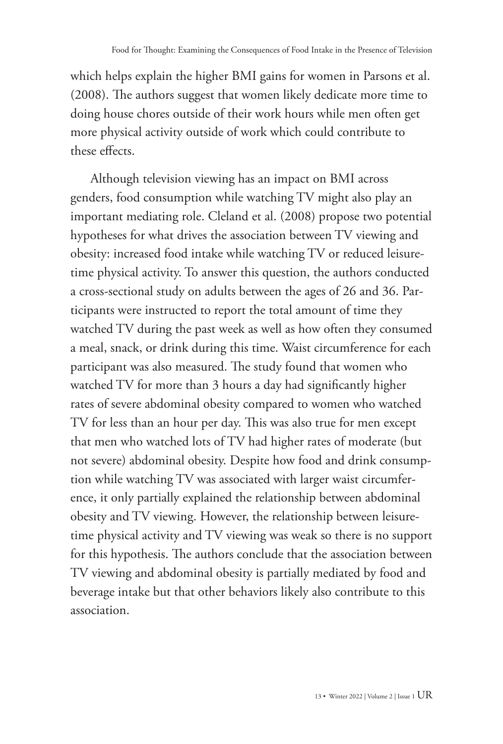which helps explain the higher BMI gains for women in Parsons et al. (2008). The authors suggest that women likely dedicate more time to doing house chores outside of their work hours while men often get more physical activity outside of work which could contribute to these effects.

Although television viewing has an impact on BMI across genders, food consumption while watching TV might also play an important mediating role. Cleland et al. (2008) propose two potential hypotheses for what drives the association between TV viewing and obesity: increased food intake while watching TV or reduced leisuretime physical activity. To answer this question, the authors conducted a cross-sectional study on adults between the ages of 26 and 36. Participants were instructed to report the total amount of time they watched TV during the past week as well as how often they consumed a meal, snack, or drink during this time. Waist circumference for each participant was also measured. The study found that women who watched TV for more than 3 hours a day had significantly higher rates of severe abdominal obesity compared to women who watched TV for less than an hour per day. This was also true for men except that men who watched lots of TV had higher rates of moderate (but not severe) abdominal obesity. Despite how food and drink consumption while watching TV was associated with larger waist circumference, it only partially explained the relationship between abdominal obesity and TV viewing. However, the relationship between leisuretime physical activity and TV viewing was weak so there is no support for this hypothesis. The authors conclude that the association between TV viewing and abdominal obesity is partially mediated by food and beverage intake but that other behaviors likely also contribute to this association.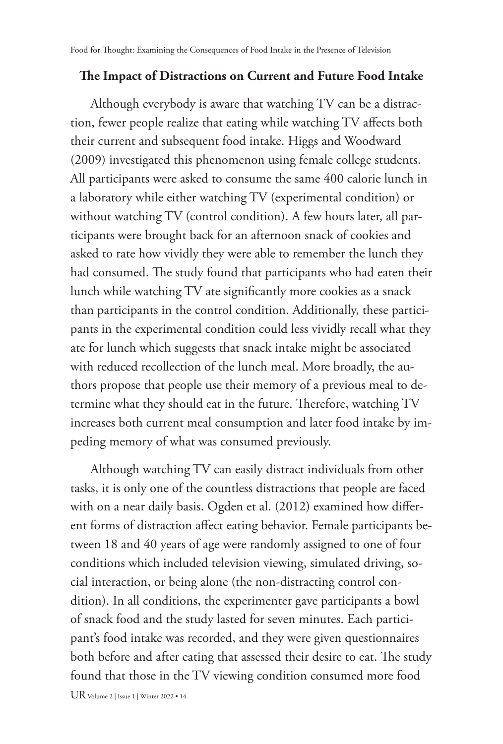#### **The Impact of Distractions on Current and Future Food Intake**

Although everybody is aware that watching TV can be a distraction, fewer people realize that eating while watching TV affects both their current and subsequent food intake. Higgs and Woodward (2009) investigated this phenomenon using female college students. All participants were asked to consume the same 400 calorie lunch in a laboratory while either watching TV (experimental condition) or without watching TV (control condition). A few hours later, all participants were brought back for an afternoon snack of cookies and asked to rate how vividly they were able to remember the lunch they had consumed. The study found that participants who had eaten their lunch while watching TV ate significantly more cookies as a snack than participants in the control condition. Additionally, these participants in the experimental condition could less vividly recall what they ate for lunch which suggests that snack intake might be associated with reduced recollection of the lunch meal. More broadly, the authors propose that people use their memory of a previous meal to determine what they should eat in the future. Therefore, watching TV increases both current meal consumption and later food intake by impeding memory of what was consumed previously.

Although watching TV can easily distract individuals from other tasks, it is only one of the countless distractions that people are faced with on a near daily basis. Ogden et al. (2012) examined how different forms of distraction affect eating behavior. Female participants between 18 and 40 years of age were randomly assigned to one of four conditions which included television viewing, simulated driving, social interaction, or being alone (the non-distracting control condition). In all conditions, the experimenter gave participants a bowl of snack food and the study lasted for seven minutes. Each participant's food intake was recorded, and they were given questionnaires both before and after eating that assessed their desire to eat. The study found that those in the TV viewing condition consumed more food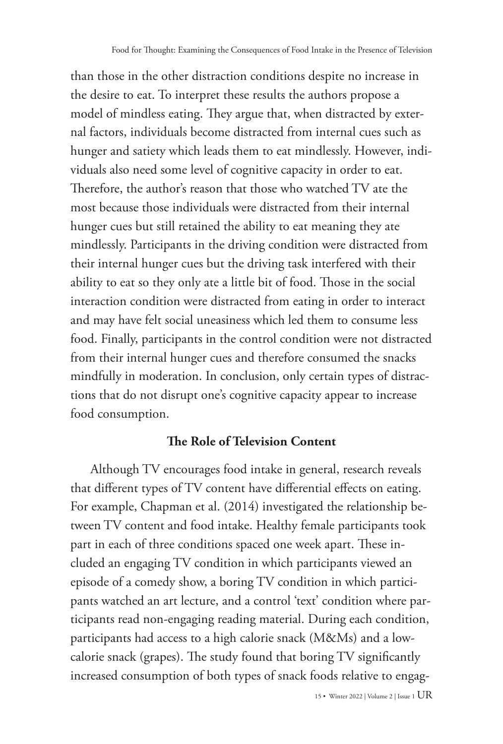than those in the other distraction conditions despite no increase in the desire to eat. To interpret these results the authors propose a model of mindless eating. They argue that, when distracted by external factors, individuals become distracted from internal cues such as hunger and satiety which leads them to eat mindlessly. However, individuals also need some level of cognitive capacity in order to eat. Therefore, the author's reason that those who watched TV ate the most because those individuals were distracted from their internal hunger cues but still retained the ability to eat meaning they ate mindlessly. Participants in the driving condition were distracted from their internal hunger cues but the driving task interfered with their ability to eat so they only ate a little bit of food. Those in the social interaction condition were distracted from eating in order to interact and may have felt social uneasiness which led them to consume less food. Finally, participants in the control condition were not distracted from their internal hunger cues and therefore consumed the snacks mindfully in moderation. In conclusion, only certain types of distractions that do not disrupt one's cognitive capacity appear to increase food consumption.

#### **The Role of Television Content**

Although TV encourages food intake in general, research reveals that different types of TV content have differential effects on eating. For example, Chapman et al. (2014) investigated the relationship between TV content and food intake. Healthy female participants took part in each of three conditions spaced one week apart. These included an engaging TV condition in which participants viewed an episode of a comedy show, a boring TV condition in which participants watched an art lecture, and a control 'text' condition where participants read non-engaging reading material. During each condition, participants had access to a high calorie snack (M&Ms) and a lowcalorie snack (grapes). The study found that boring TV significantly increased consumption of both types of snack foods relative to engag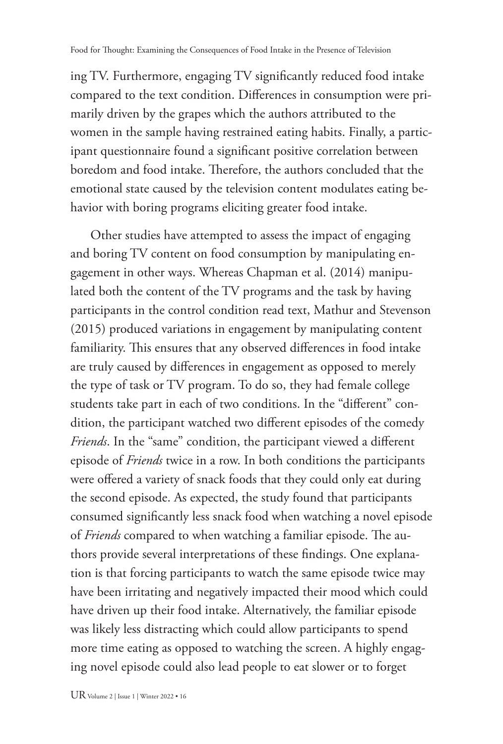ing TV. Furthermore, engaging TV significantly reduced food intake compared to the text condition. Differences in consumption were primarily driven by the grapes which the authors attributed to the women in the sample having restrained eating habits. Finally, a participant questionnaire found a significant positive correlation between boredom and food intake. Therefore, the authors concluded that the emotional state caused by the television content modulates eating behavior with boring programs eliciting greater food intake.

Other studies have attempted to assess the impact of engaging and boring TV content on food consumption by manipulating engagement in other ways. Whereas Chapman et al. (2014) manipulated both the content of the TV programs and the task by having participants in the control condition read text, Mathur and Stevenson (2015) produced variations in engagement by manipulating content familiarity. This ensures that any observed differences in food intake are truly caused by differences in engagement as opposed to merely the type of task or TV program. To do so, they had female college students take part in each of two conditions. In the "different" condition, the participant watched two different episodes of the comedy *Friends*. In the "same" condition, the participant viewed a different episode of *Friends* twice in a row. In both conditions the participants were offered a variety of snack foods that they could only eat during the second episode. As expected, the study found that participants consumed significantly less snack food when watching a novel episode of *Friends* compared to when watching a familiar episode. The authors provide several interpretations of these findings. One explanation is that forcing participants to watch the same episode twice may have been irritating and negatively impacted their mood which could have driven up their food intake. Alternatively, the familiar episode was likely less distracting which could allow participants to spend more time eating as opposed to watching the screen. A highly engaging novel episode could also lead people to eat slower or to forget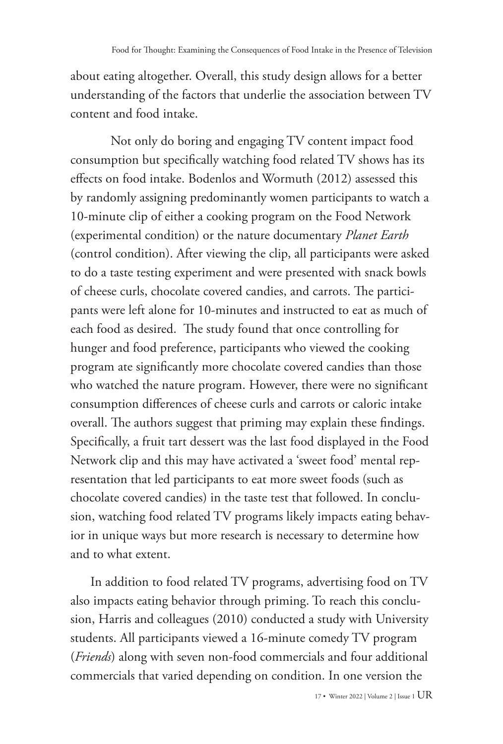about eating altogether. Overall, this study design allows for a better understanding of the factors that underlie the association between TV content and food intake.

Not only do boring and engaging TV content impact food consumption but specifically watching food related TV shows has its effects on food intake. Bodenlos and Wormuth (2012) assessed this by randomly assigning predominantly women participants to watch a 10-minute clip of either a cooking program on the Food Network (experimental condition) or the nature documentary *Planet Earth* (control condition). After viewing the clip, all participants were asked to do a taste testing experiment and were presented with snack bowls of cheese curls, chocolate covered candies, and carrots. The participants were left alone for 10-minutes and instructed to eat as much of each food as desired. The study found that once controlling for hunger and food preference, participants who viewed the cooking program ate significantly more chocolate covered candies than those who watched the nature program. However, there were no significant consumption differences of cheese curls and carrots or caloric intake overall. The authors suggest that priming may explain these findings. Specifically, a fruit tart dessert was the last food displayed in the Food Network clip and this may have activated a 'sweet food' mental representation that led participants to eat more sweet foods (such as chocolate covered candies) in the taste test that followed. In conclusion, watching food related TV programs likely impacts eating behavior in unique ways but more research is necessary to determine how and to what extent.

In addition to food related TV programs, advertising food on TV also impacts eating behavior through priming. To reach this conclusion, Harris and colleagues (2010) conducted a study with University students. All participants viewed a 16-minute comedy TV program (*Friends*) along with seven non-food commercials and four additional commercials that varied depending on condition. In one version the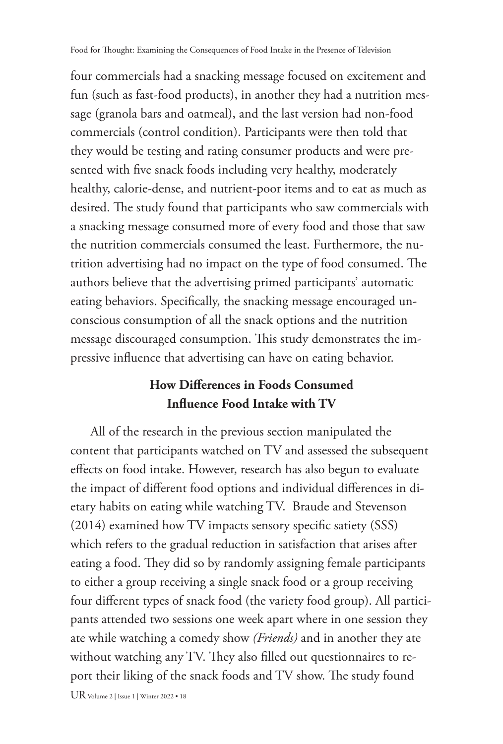four commercials had a snacking message focused on excitement and fun (such as fast-food products), in another they had a nutrition message (granola bars and oatmeal), and the last version had non-food commercials (control condition). Participants were then told that they would be testing and rating consumer products and were presented with five snack foods including very healthy, moderately healthy, calorie-dense, and nutrient-poor items and to eat as much as desired. The study found that participants who saw commercials with a snacking message consumed more of every food and those that saw the nutrition commercials consumed the least. Furthermore, the nutrition advertising had no impact on the type of food consumed. The authors believe that the advertising primed participants' automatic eating behaviors. Specifically, the snacking message encouraged unconscious consumption of all the snack options and the nutrition message discouraged consumption. This study demonstrates the impressive influence that advertising can have on eating behavior.

# **How Differences in Foods Consumed Influence Food Intake with TV**

All of the research in the previous section manipulated the content that participants watched on TV and assessed the subsequent effects on food intake. However, research has also begun to evaluate the impact of different food options and individual differences in dietary habits on eating while watching TV. Braude and Stevenson (2014) examined how TV impacts sensory specific satiety (SSS) which refers to the gradual reduction in satisfaction that arises after eating a food. They did so by randomly assigning female participants to either a group receiving a single snack food or a group receiving four different types of snack food (the variety food group). All participants attended two sessions one week apart where in one session they ate while watching a comedy show *(Friends)* and in another they ate without watching any TV. They also filled out questionnaires to report their liking of the snack foods and TV show. The study found

UR Volume 2 | Issue 1 | Winter 2022 • 18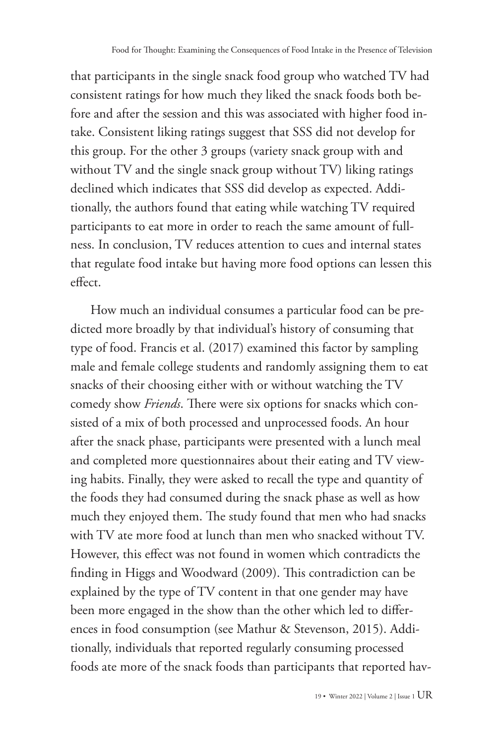that participants in the single snack food group who watched TV had consistent ratings for how much they liked the snack foods both before and after the session and this was associated with higher food intake. Consistent liking ratings suggest that SSS did not develop for this group. For the other 3 groups (variety snack group with and without TV and the single snack group without TV) liking ratings declined which indicates that SSS did develop as expected. Additionally, the authors found that eating while watching TV required participants to eat more in order to reach the same amount of fullness. In conclusion, TV reduces attention to cues and internal states that regulate food intake but having more food options can lessen this effect.

How much an individual consumes a particular food can be predicted more broadly by that individual's history of consuming that type of food. Francis et al. (2017) examined this factor by sampling male and female college students and randomly assigning them to eat snacks of their choosing either with or without watching the TV comedy show *Friends*. There were six options for snacks which consisted of a mix of both processed and unprocessed foods. An hour after the snack phase, participants were presented with a lunch meal and completed more questionnaires about their eating and TV viewing habits. Finally, they were asked to recall the type and quantity of the foods they had consumed during the snack phase as well as how much they enjoyed them. The study found that men who had snacks with TV ate more food at lunch than men who snacked without TV. However, this effect was not found in women which contradicts the finding in Higgs and Woodward (2009). This contradiction can be explained by the type of TV content in that one gender may have been more engaged in the show than the other which led to differences in food consumption (see Mathur & Stevenson, 2015). Additionally, individuals that reported regularly consuming processed foods ate more of the snack foods than participants that reported hav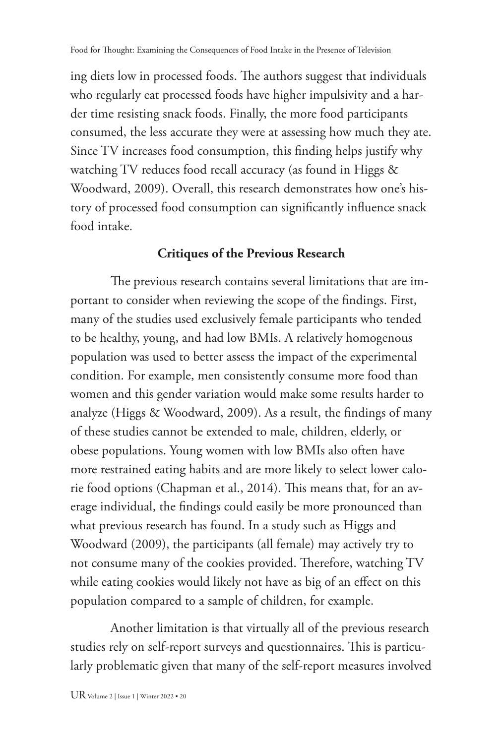ing diets low in processed foods. The authors suggest that individuals who regularly eat processed foods have higher impulsivity and a harder time resisting snack foods. Finally, the more food participants consumed, the less accurate they were at assessing how much they ate. Since TV increases food consumption, this finding helps justify why watching TV reduces food recall accuracy (as found in Higgs & Woodward, 2009). Overall, this research demonstrates how one's history of processed food consumption can significantly influence snack food intake.

#### **Critiques of the Previous Research**

The previous research contains several limitations that are important to consider when reviewing the scope of the findings. First, many of the studies used exclusively female participants who tended to be healthy, young, and had low BMIs. A relatively homogenous population was used to better assess the impact of the experimental condition. For example, men consistently consume more food than women and this gender variation would make some results harder to analyze (Higgs & Woodward, 2009). As a result, the findings of many of these studies cannot be extended to male, children, elderly, or obese populations. Young women with low BMIs also often have more restrained eating habits and are more likely to select lower calorie food options (Chapman et al., 2014). This means that, for an average individual, the findings could easily be more pronounced than what previous research has found. In a study such as Higgs and Woodward (2009), the participants (all female) may actively try to not consume many of the cookies provided. Therefore, watching TV while eating cookies would likely not have as big of an effect on this population compared to a sample of children, for example.

Another limitation is that virtually all of the previous research studies rely on self-report surveys and questionnaires. This is particularly problematic given that many of the self-report measures involved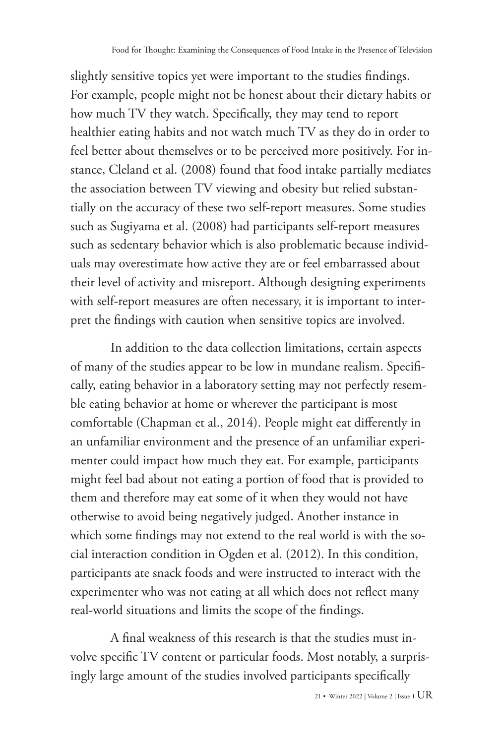slightly sensitive topics yet were important to the studies findings. For example, people might not be honest about their dietary habits or how much TV they watch. Specifically, they may tend to report healthier eating habits and not watch much TV as they do in order to feel better about themselves or to be perceived more positively. For instance, Cleland et al. (2008) found that food intake partially mediates the association between TV viewing and obesity but relied substantially on the accuracy of these two self-report measures. Some studies such as Sugiyama et al. (2008) had participants self-report measures such as sedentary behavior which is also problematic because individuals may overestimate how active they are or feel embarrassed about their level of activity and misreport. Although designing experiments with self-report measures are often necessary, it is important to interpret the findings with caution when sensitive topics are involved.

In addition to the data collection limitations, certain aspects of many of the studies appear to be low in mundane realism. Specifically, eating behavior in a laboratory setting may not perfectly resemble eating behavior at home or wherever the participant is most comfortable (Chapman et al., 2014). People might eat differently in an unfamiliar environment and the presence of an unfamiliar experimenter could impact how much they eat. For example, participants might feel bad about not eating a portion of food that is provided to them and therefore may eat some of it when they would not have otherwise to avoid being negatively judged. Another instance in which some findings may not extend to the real world is with the social interaction condition in Ogden et al. (2012). In this condition, participants ate snack foods and were instructed to interact with the experimenter who was not eating at all which does not reflect many real-world situations and limits the scope of the findings.

A final weakness of this research is that the studies must involve specific TV content or particular foods. Most notably, a surprisingly large amount of the studies involved participants specifically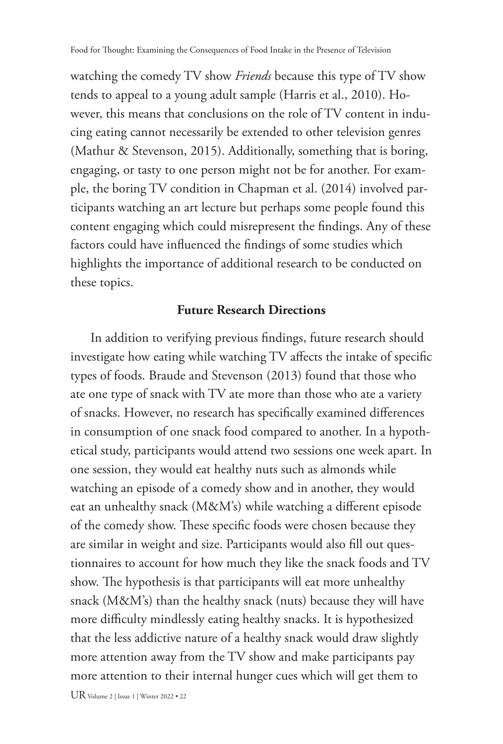watching the comedy TV show *Friends* because this type of TV show tends to appeal to a young adult sample (Harris et al., 2010). However, this means that conclusions on the role of TV content in inducing eating cannot necessarily be extended to other television genres (Mathur & Stevenson, 2015). Additionally, something that is boring, engaging, or tasty to one person might not be for another. For example, the boring TV condition in Chapman et al. (2014) involved participants watching an art lecture but perhaps some people found this content engaging which could misrepresent the findings. Any of these factors could have influenced the findings of some studies which highlights the importance of additional research to be conducted on these topics.

#### **Future Research Directions**

In addition to verifying previous findings, future research should investigate how eating while watching TV affects the intake of specific types of foods. Braude and Stevenson (2013) found that those who ate one type of snack with TV ate more than those who ate a variety of snacks. However, no research has specifically examined differences in consumption of one snack food compared to another. In a hypothetical study, participants would attend two sessions one week apart. In one session, they would eat healthy nuts such as almonds while watching an episode of a comedy show and in another, they would eat an unhealthy snack (M&M's) while watching a different episode of the comedy show. These specific foods were chosen because they are similar in weight and size. Participants would also fill out questionnaires to account for how much they like the snack foods and TV show. The hypothesis is that participants will eat more unhealthy snack (M&M's) than the healthy snack (nuts) because they will have more difficulty mindlessly eating healthy snacks. It is hypothesized that the less addictive nature of a healthy snack would draw slightly more attention away from the TV show and make participants pay more attention to their internal hunger cues which will get them to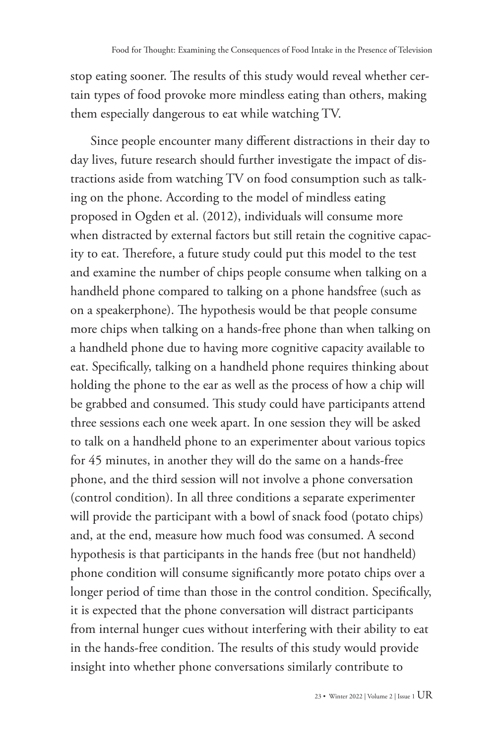stop eating sooner. The results of this study would reveal whether certain types of food provoke more mindless eating than others, making them especially dangerous to eat while watching TV.

Since people encounter many different distractions in their day to day lives, future research should further investigate the impact of distractions aside from watching TV on food consumption such as talking on the phone. According to the model of mindless eating proposed in Ogden et al. (2012), individuals will consume more when distracted by external factors but still retain the cognitive capacity to eat. Therefore, a future study could put this model to the test and examine the number of chips people consume when talking on a handheld phone compared to talking on a phone handsfree (such as on a speakerphone). The hypothesis would be that people consume more chips when talking on a hands-free phone than when talking on a handheld phone due to having more cognitive capacity available to eat. Specifically, talking on a handheld phone requires thinking about holding the phone to the ear as well as the process of how a chip will be grabbed and consumed. This study could have participants attend three sessions each one week apart. In one session they will be asked to talk on a handheld phone to an experimenter about various topics for 45 minutes, in another they will do the same on a hands-free phone, and the third session will not involve a phone conversation (control condition). In all three conditions a separate experimenter will provide the participant with a bowl of snack food (potato chips) and, at the end, measure how much food was consumed. A second hypothesis is that participants in the hands free (but not handheld) phone condition will consume significantly more potato chips over a longer period of time than those in the control condition. Specifically, it is expected that the phone conversation will distract participants from internal hunger cues without interfering with their ability to eat in the hands-free condition. The results of this study would provide insight into whether phone conversations similarly contribute to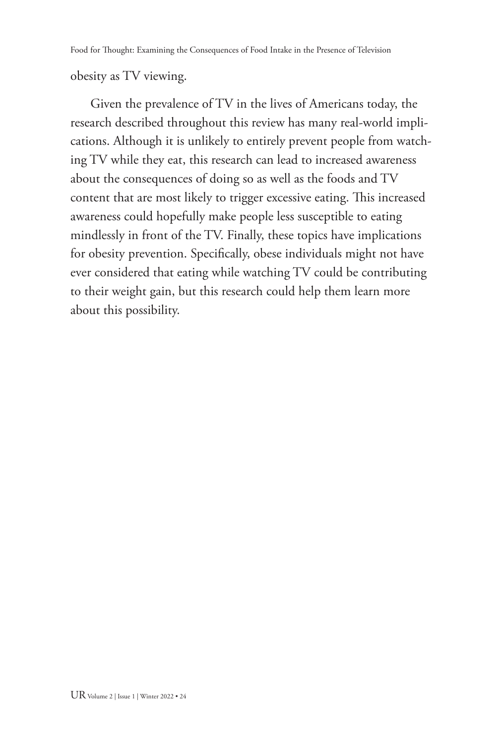obesity as TV viewing.

Given the prevalence of TV in the lives of Americans today, the research described throughout this review has many real-world implications. Although it is unlikely to entirely prevent people from watching TV while they eat, this research can lead to increased awareness about the consequences of doing so as well as the foods and TV content that are most likely to trigger excessive eating. This increased awareness could hopefully make people less susceptible to eating mindlessly in front of the TV. Finally, these topics have implications for obesity prevention. Specifically, obese individuals might not have ever considered that eating while watching TV could be contributing to their weight gain, but this research could help them learn more about this possibility.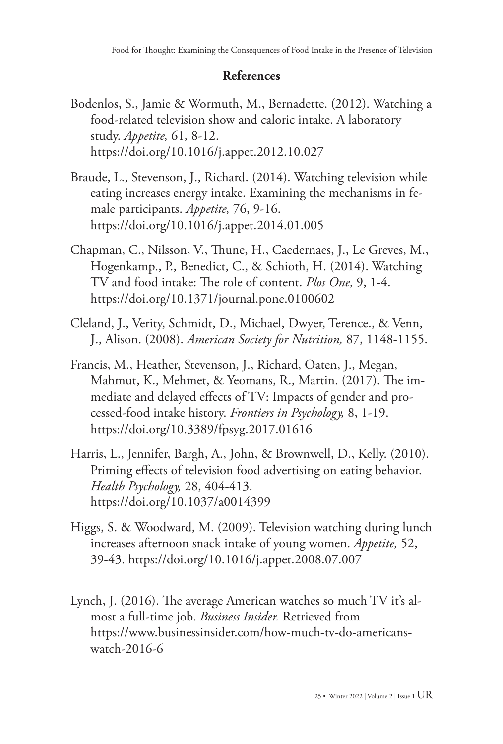## **References**

- Bodenlos, S., Jamie & Wormuth, M., Bernadette. (2012). Watching a food-related television show and caloric intake. A laboratory study. *Appetite,* 61*,* 8-12. <https://doi.org/10.1016/j.appet.2012.10.027>
- Braude, L., Stevenson, J., Richard. (2014). Watching television while eating increases energy intake. Examining the mechanisms in female participants. *Appetite,* 76, 9-16. <https://doi.org/10.1016/j.appet.2014.01.005>
- Chapman, C., Nilsson, V., Thune, H., Caedernaes, J., Le Greves, M., Hogenkamp., P., Benedict, C., & Schioth, H. (2014). Watching TV and food intake: The role of content. *Plos One,* 9, 1-4. <https://doi.org/10.1371/journal.pone.0100602>
- Cleland, J., Verity, Schmidt, D., Michael, Dwyer, Terence., & Venn, J., Alison. (2008). *American Society for Nutrition,* 87, 1148-1155.
- Francis, M., Heather, Stevenson, J., Richard, Oaten, J., Megan, Mahmut, K., Mehmet, & Yeomans, R., Martin. (2017). The immediate and delayed effects of TV: Impacts of gender and processed-food intake history. *Frontiers in Psychology,* 8, 1-19. <https://doi.org/10.3389/fpsyg.2017.01616>
- Harris, L., Jennifer, Bargh, A., John, & Brownwell, D., Kelly. (2010). Priming effects of television food advertising on eating behavior. *Health Psychology,* 28, 404-413. [https://doi.org/10.1037/a0014399](https://doi.apa.org/doi/10.1037/a0014399)
- Higgs, S. & Woodward, M. (2009). Television watching during lunch increases afternoon snack intake of young women. *Appetite,* 52, 39-43.<https://doi.org/10.1016/j.appet.2008.07.007>
- Lynch, J. (2016). The average American watches so much TV it's almost a full-time job. *Business Insider.* Retrieved from [https://www.businessinsider.com/how-much-tv-do-americans](https://www.businessinsider.com/how-much-tv-do-americans-watch-2016-6)[watch-2016-6](https://www.businessinsider.com/how-much-tv-do-americans-watch-2016-6)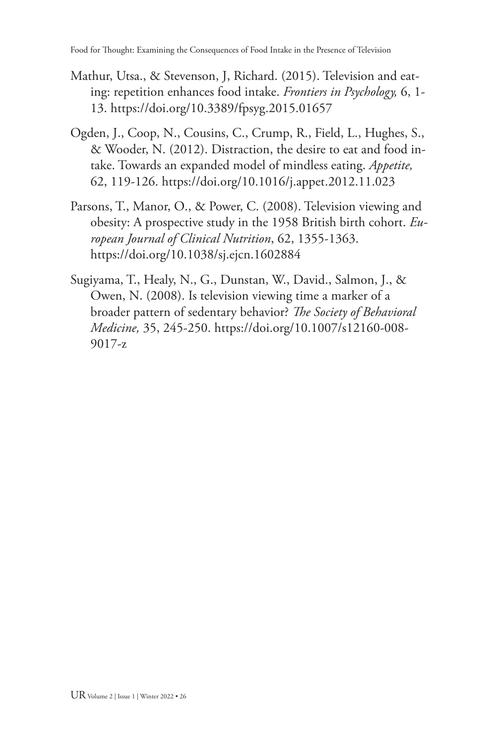- Mathur, Utsa., & Stevenson, J, Richard. (2015). Television and eating: repetition enhances food intake. *Frontiers in Psychology,* 6, 1- 13.<https://doi.org/10.3389/fpsyg.2015.01657>
- Ogden, J., Coop, N., Cousins, C., Crump, R., Field, L., Hughes, S., & Wooder, N. (2012). Distraction, the desire to eat and food intake. Towards an expanded model of mindless eating. *Appetite,* 62, 119-126.<https://doi.org/10.1016/j.appet.2012.11.023>
- Parsons, T., Manor, O., & Power, C. (2008). Television viewing and obesity: A prospective study in the 1958 British birth cohort. *European Journal of Clinical Nutrition*, 62, 1355-1363. https://doi.org/10.1038/sj.ejcn.1602884
- Sugiyama, T., Healy, N., G., Dunstan, W., David., Salmon, J., & Owen, N. (2008). Is television viewing time a marker of a broader pattern of sedentary behavior? *The Society of Behavioral Medicine,* 35, 245-250. [https://doi.org/10.1007/s12160-008-](https://doi.org/10.1007/s12160-008-9017-z) [9017-z](https://doi.org/10.1007/s12160-008-9017-z)